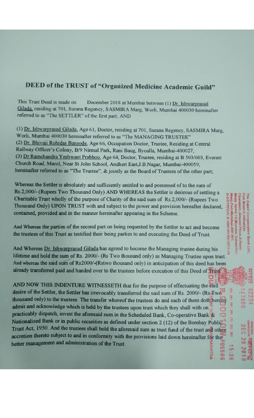# **DEED of the TRUST of "Organized Medicine Academic Guild"**

This Trust Deed is made on December 2018 at Mumbai between (1) Dr. Ishwarprasad Gilada, residing at 701, Surana Regency, SASMIRA Marg, Worli, Mumbai 400030 hereinafter referred to as "The SETTLER" of the first part; AND

(1) Dr. Ishwarprasad Gilada, Age 61, Doctor, residing at 701, Surana Regency, SASMIRA Marg, Worli, Mumbai 400030 hereinafter referred to as "The MANAGING TRUSTEE" (2) Dr. Bhivaji Rohidas Bansode, Age 66, Occupation Doctor, Trustee, Residing at Central Railway Officer's Colony, B/9 Nirmal Park, Rani Baug, Byculla, Mumbai-400027, (3) Dr Ramchandra Yeshwant Prabhoo, Age 64, Doctor, Trustee, residing at B 503/603, Everest Church Road, Marol, Near St John School, Andheri East, J.B.Nagar, Mumbai-400059, hereinafter referred to as "The Trustee", & jointly as the Board of Trustees of the other part;

Whereas the Settler is absolutely and sufficiently entitled to and possessed of to the sum of Rs.2,000/- (Rupees Two Thousand Only) AND WHEREAS the Settler is desirous of settling a Charitable Trust wholly of the purpose of Charity of the said sum of Rs.2,000/- (Rupees Two Thousand Only) UPON TRUST with and subject to the power and provision hereafter declared, contained, provided and in the manner hereinafter appearing in the Scheme.

And Whereas the parties of the second part on being requested by the Settler to act and become the trustees of this Trust as testified their being parties to and executing the Deed of Trust.

And Whereas Dr. Ishwarprasad Gilada has agreed to become the Managing trustee during his lifetime and hold the sum of Rs. 2000/- (Rs Two thousand only) as Managing Trustee upon trust. And whereas the said sum of Rs2000/-(Rstwo thousand only) in anticipation of this deed has been already transferred paid and handed over to the trustees before execution of this Deed of Trust

AND NOW THIS INDENTURE WITNESSETH that for the purpose of effectuating the said desire of the Settler, the Settler has irrevocably transferred the said sum of Rs. 2000/- (Rs.Two) thousand only) to the trustees. The transfer whereof the trustees do and each of them doth hereby admit and acknowledge which is held by the trustees upon trust which they shall with on practicably dispatch, invest the aforesaid sum in the Scheduled Bank, Co-operative Bank & Nationalised Bank or in public securities as defined under section 2 (12) of the Bombay Public Trust Act, 1950. And the trustees shall hold the aforesaid sum as trust fund of the trust and other accretion thereto subject to and in conformity with the provisions laid down hereinafter for the better management and administration of the Trust. 0999

5/STP(V)/C.R.1061/01/05/ rg, Fort, Mumbai-400 001 Kapol Co-operative Street 16.Murribai Samacha Ground Floor, 8, Homi

R

J

3

**DAY** 

DRI

15:3

HTRA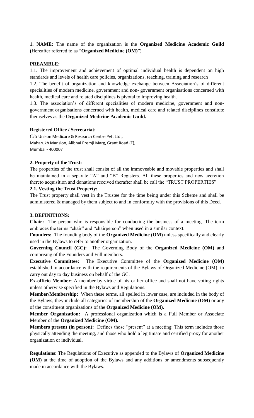**1. NAME:** The name of the organization is the **Organized Medicine Academic Guild (**Hereafter referred to as "**Organized Medicine (OM)**")

## **PREAMBLE:**

1.1. The improvement and achievement of optimal individual health is dependent on high standards and levels of health care policies, organizations, teaching, training and research

1.2. The benefit of organization and knowledge exchange between Association's of different specialities of modern medicine, government and non- government organisations concerned with health, medical care and related disciplines is pivotal to improving health.

1.3. The association's of different specialities of modern medicine, government and nongovernment organisations concerned with health, medical care and related disciplines constitute themselves as the **Organized Medicine Academic Guild.** 

## **Registered Office / Secretariat:**

C/o Unison Medicare & Research Centre Pvt. Ltd., Maharukh Mansion, Alibhai Premji Marg, Grant Road (E), Mumbai - 400007

# **2. Property of the Trust:**

The properties of the trust shall consist of all the immoveable and movable properties and shall be maintained in a separate "A" and "B" Registers. All these properties and new accretion thereto acquisition and donations received therafter shall be call the "TRUST PROPERTIES".

## **2.1. Vesting the Trust Property:**

The Trust property shall vest in the Trustee for the time being under this Scheme and shall be administered & managed by them subject to and in conformity with the provisions of this Deed.

## **3. DEFINITIONS:**

**Chair:** The person who is responsible for conducting the business of a meeting. The term embraces the terms "chair" and "chairperson" when used in a similar context.

**Founders:** The founding body of the **Organized Medicine (OM)** unless specifically and clearly used in the Bylaws to refer to another organization.

**Governing Council (GC):** The Governing Body of the **Organized Medicine (OM)** and comprising of the Founders and Full members.

**Executive Committee:** The Executive Committee of the **Organized Medicine (OM)**  established in accordance with the requirements of the Bylaws of Organized Medicine (OM) to carry out day to day business on behalf of the GC.

**Ex-officio Member**: A member by virtue of his or her office and shall not have voting rights unless otherwise specified in the Bylaws and Regulations.

**Member/Membership:** When these terms, all spelled in lower case, are included in the body of the Bylaws, they include all categories of membership of the **Organized Medicine (OM)** or any of the constituent organizations of the **Organized Medicine (OM).**

**Member Organization:** A professional organization which is a Full Member or Associate Member of the **Organized Medicine (OM).**

**Members present (in person):** Defines those "present" at a meeting. This term includes those physically attending the meeting, and those who hold a legitimate and certified proxy for another organization or individual.

**Regulations**: The Regulations of Executive as appended to the Bylaws of **Organized Medicine (OM)** at the time of adoption of the Bylaws and any additions or amendments subsequently made in accordance with the Bylaws.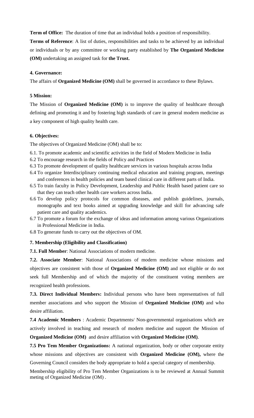**Term of Office:** The duration of time that an individual holds a position of responsibility.

**Terms of Reference**: A list of duties, responsibilities and tasks to be achieved by an individual or individuals or by any committee or working party established by **The Organized Medicine (OM)** undertaking an assigned task for **the Trust.**

## **4. Governance:**

The affairs of **Organized Medicine (OM)** shall be governed in accordance to these Bylaws.

## **5 Mission:**

The Mission of **Organized Medicine (OM)** is to improve the quality of healthcare through defining and promoting it and by fostering high standards of care in general modern medicine as a key component of high quality health care.

#### **6. Objectives:**

The objectives of Organized Medicine (OM) shall be to:

- 6.1. To promote academic and scientific activities in the field of Modern Medicine in India
- 6.2 To encourage research in the fields of Policy and Practices
- 6.3 To promote development of quality healthcare services in various hospitals across India
- 6.4 To organize Interdisciplinary continuing medical education and training program, meetings and conferences in health policies and team based clinical care in different parts of India.
- 6.5 To train faculty in Policy Development, Leadership and Public Health based patient care so that they can teach other health care workers across India.
- 6.6 To develop policy protocols for common diseases, and publish guidelines, journals, monographs and text books aimed at upgrading knowledge and skill for advancing safe patient care and quality academics.
- 6.7 To promote a forum for the exchange of ideas and information among various Organizations in Professional Medicine in India.

6.8 To generate funds to carry out the objectives of OM.

#### **7. Membership (Eligibility and Classification)**

**7.1. Full Member**: National Associations of modern medicine.

**7.2. Associate Member**: National Associations of modern medicine whose missions and objectives are consistent with those of **Organized Medicine (OM)** and not eligible or do not seek full Membership and of which the majority of the constituent voting members are recognized health professions.

**7.3. Direct Individual Members:** Individual persons who have been representatives of full member associations and who support the Mission of **Organized Medicine (OM)** and who desire affiliation.

**7.4 Academic Members** : Academic Departments/ Non-governmental organisations which are actively involved in teaching and research of modern medicine and support the Mission of **Organized Medicine (OM)** and desire affiliation with **Organized Medicine (OM)**.

**7.5 Pro Tem Member Organizations:** A national organization, body or other corporate entity whose missions and objectives are consistent with **Organized Medicine (OM),** where the Governing Council considers the body appropriate to hold a special category of membership.

Membership eligibility of Pro Tem Member Organizations is to be reviewed at Annual Summit meting of Organized Medicine (OM) .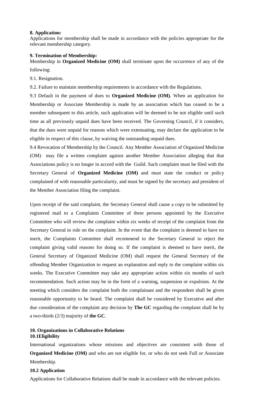#### **8. Application:**

Applications for membership shall be made in accordance with the policies appropriate for the relevant membership category.

#### **9. Termination of Membership:**

Membership in **Organized Medicine (OM)** shall terminate upon the occurrence of any of the following:

9.1. Resignation.

9.2. Failure to maintain membership requirements in accordance with the Regulations.

9.3 Default in the payment of dues to **Organized Medicine (OM)**. When an application for Membership or Associate Membership is made by an association which has ceased to be a member subsequent to this article, such application will be deemed to be not eligible until such time as all previously unpaid dues have been received. The Governing Council, if it considers, that the dues were unpaid for reasons which were extenuating, may declare the application to be eligible in respect of this clause, by waiving the outstanding unpaid dues.

9.4 Revocation of Membership by the Council. Any Member Association of Organized Medicine (OM) may file a written complaint against another Member Association alleging that that Associations policy is no longer in accord with the Guild. Such complaint must be filed with the Secretary General of **Organized Medicine (OM)** and must state the conduct or policy complained of with reasonable particularity, and must be signed by the secretary and president of the Member Association filing the complaint.

Upon receipt of the said complaint, the Secretary General shall cause a copy to be submitted by registered mail to a Complaints Committee of three persons appointed by the Executive Committee who will review the complaint within six weeks of receipt of the complaint from the Secretary General to rule on the complaint. In the event that the complaint is deemed to have no merit, the Complaints Committee shall recommend to the Secretary General to reject the complaint giving valid reasons for doing so. If the complaint is deemed to have merit, the General Secretary of Organized Medicine (OM) shall request the General Secretary of the offending Member Organization to request an explanation and reply to the complaint within six weeks. The Executive Committee may take any appropriate action within six months of such recommendation. Such action may be in the form of a warning, suspension or expulsion. At the meeting which considers the complaint both the complainant and the respondent shall be given reasonable opportunity to be heard. The complaint shall be considered by Executive and after due consideration of the complaint any decision by **The GC** regarding the complaint shall be by a two-thirds (2/3) majority of **the GC**.

## **10. Organizations in Collaborative Relations 10.1Eligibility**

International organizations whose missions and objectives are consistent with those of **Organized Medicine (OM)** and who are not eligible for, or who do not seek Full or Associate Membership.

## **10.2 Application**

Applications for Collaborative Relations shall be made in accordance with the relevant policies.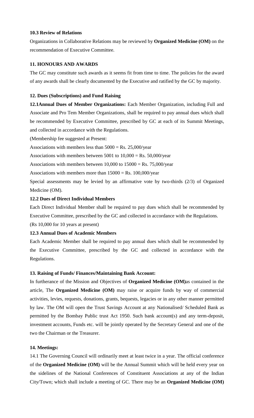## **10.3 Review of Relations**

Organizations in Collaborative Relations may be reviewed by **Organized Medicine (OM)** on the recommendation of Executive Committee.

# **11. HONOURS AND AWARDS**

The GC may constitute such awards as it seems fit from time to time. The policies for the award of any awards shall be clearly documented by the Executive and ratified by the GC by majority.

# **12. Dues (Subscriptions) and Fund Raising**

**12.1Annual Dues of Member Organizations:** Each Member Organization, including Full and Associate and Pro Tem Member Organizations, shall be required to pay annual dues which shall be recommended by Executive Committee, prescribed by GC at each of its Summit Meetings, and collected in accordance with the Regulations.

(Membership fee suggested at Present:

Associations with members less than  $5000 = \text{Rs. } 25,000/\text{year}$ 

Associations with members between  $5001$  to  $10,000 = \text{Rs. } 50,000/\text{year}$ 

Associations with members between  $10,000$  to  $15000 = \text{Rs. } 75,000/\text{year}$ 

Associations with members more than  $15000 = Rs. 100,000/year$ 

Special assessments may be levied by an affirmative vote by two-thirds (2/3) of Organized Medicine (OM).

# **12.2 Dues of Direct Individual Members**

Each Direct Individual Member shall be required to pay dues which shall be recommended by Executive Committee, prescribed by the GC and collected in accordance with the Regulations.

(Rs 10,000 for 10 years at present)

# **12.3 Annual Dues of Academic Members**

Each Academic Member shall be required to pay annual dues which shall be recommended by the Executive Committee, prescribed by the GC and collected in accordance with the Regulations.

# **13. Raising of Funds/ Finances/Maintaining Bank Account:**

In furtherance of the Mission and Objectives of **Organized Medicine (OM)**as contained in the article, The **Organized Medicine (OM)** may raise or acquire funds by way of commercial activities, levies, requests, donations, grants, bequests, legacies or in any other manner permitted by law. The OM will open the Trust Savings Account at any Nationalised/ Scheduled Bank as permitted by the Bombay Public trust Act 1950. Such bank account(s) and any term-deposit, investment accounts, Funds etc. will be jointly operated by the Secretary General and one of the two the Chairman or the Treasurer.

# **14. Meetings:**

14.1 The Governing Council will ordinarily meet at least twice in a year. The official conference of the **Organized Medicine (OM)** will be the Annual Summit which will be held every year on the sidelines of the National Conferences of Constituent Associations at any of the Indian City/Town; which shall include a meeting of GC. There may be an **Organized Medicine (OM)**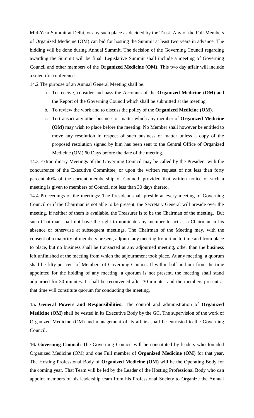Mid-Year Summit at Delhi, or any such place as decided by the Trust. Any of the Full Members of Organized Medicine (OM) can bid for hosting the Summit at least two years in advance. The bidding will be done during Annual Summit. The decision of the Governing Council regarding awarding the Summit will be final. Legislative Summit shall include a meeting of Governing Council and other members of the **Organized Medicine (OM)**. This two day affair will include a scientific conference.

14.2 The purpose of an Annual General Meeting shall be:

- a. To receive, consider and pass the Accounts of the **Organized Medicine (OM)** and the Report of the Governing Council which shall be submitted at the meeting.
- b. To review the work and to discuss the policy of the **Organized Medicine (OM)**.
- c. To transact any other business or matter which any member of **Organized Medicine (OM)** may wish to place before the meeting. No Member shall however be entitled to move any resolution in respect of such business or matter unless a copy of the proposed resolution signed by him has been sent to the Central Office of Organized Medicine (OM) 60 Days before the date of the meeting.

14.3 Extraordinary Meetings of the Governing Council may be called by the President with the concurrence of the Executive Committee, or upon the written request of not less than forty percent 40% of the current membership of Council, provided that written notice of such a meeting is given to members of Council not less than 30 days thereto.

14.4 Proceedings of the meetings: The President shall preside at every meeting of Governing Council or if the Chairman is not able to be present, the Secretary General will preside over the meeting. If neither of them is available, the Treasurer is to be the Chairman of the meeting. But such Chairman shall not have the right to nominate any member to act as a Chairman in his absence or otherwise at subsequent meetings. The Chairman of the Meeting may, with the consent of a majority of members present, adjourn any meeting from time to time and from place to place, but no business shall be transacted at any adjourned meeting, other than the business left unfinished at the meeting from which the adjournment took place. At any meeting, a quorum shall be fifty per cent of Members of Governing Council. If within half an hour from the time appointed for the holding of any meeting, a quorum is not present, the meeting shall stand adjourned for 30 minutes. It shall be reconvened after 30 minutes and the members present at that time will constitute quorum for conducting the meeting.

**15. General Powers and Responsibilities:** The control and administration of **Organized Medicine (OM)** shall be vested in its Executive Body by the GC. The supervision of the work of Organized Medicine (OM) and management of its affairs shall be entrusted to the Governing Council.

**16. Governing Council:** The Governing Council will be constituted by leaders who founded Organized Medicine (OM) and one Full member of **Organized Medicine (OM)** for that year. The Hosting Professional Body of **Organized Medicine (OM)** will be the Operating Body for the coming year. That Team will be led by the Leader of the Hosting Professional Body who can appoint members of his leadership team from his Professional Society to Organize the Annual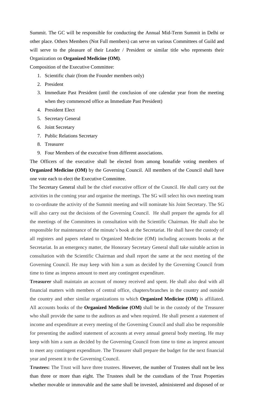Summit. The GC will be responsible for conducting the Annual Mid-Term Summit in Delhi or other place. Others Members (Not Full members) can serve on various Committees of Guild and will serve to the pleasure of their Leader / President or similar title who represents their Organization on **Organized Medicine (OM)**.

Composition of the Executive Committee:

- 1. Scientific chair (from the Founder members only)
- 2. President
- 3. Immediate Past President (until the conclusion of one calendar year from the meeting when they commenced office as Immediate Past President)
- 4. President Elect
- 5. Secretary General
- 6. Joint Secretary
- 7. Public Relations Secretary
- 8. Treasurer
- 9. Four Members of the executive from different associations.

The Officers of the executive shall be elected from among bonafide voting members of **Organized Medicine (OM)** by the Governing Council. All members of the Council shall have one vote each to elect the Executive Committee.

The Secretary General shall be the chief executive officer of the Council. He shall carry out the activities in the coming year and organise the meetings. The SG will select his own meeting team to co-ordinate the activity of the Summit meeting and will nominate his Joint Secretary. The SG will also carry out the decisions of the Governing Council. He shall prepare the agenda for all the meetings of the Committees in consultation with the Scientific Chairman. He shall also be responsible for maintenance of the minute's book at the Secretariat. He shall have the custody of all registers and papers related to Organized Medicine (OM) including accounts books at the Secretariat. In an emergency matter, the Honorary Secretary General shall take suitable action in consultation with the Scientific Chairman and shall report the same at the next meeting of the Governing Council. He may keep with him a sum as decided by the Governing Council from time to time as impress amount to meet any contingent expenditure.

**Treasurer** shall maintain an account of money received and spent. He shall also deal with all financial matters with members of central office, chapters/branches in the country and outside the country and other similar organizations to which **Organized Medicine (OM)** is affiliated. All accounts books of the **Organized Medicine (OM)** shall be in the custody of the Treasurer who shall provide the same to the auditors as and when required. He shall present a statement of income and expenditure at every meeting of the Governing Council and shall also be responsible for presenting the audited statement of accounts at every annual general body meeting. He may keep with him a sum as decided by the Governing Council from time to time as imprest amount to meet any contingent expenditure. The Treasurer shall prepare the budget for the next financial year and present it to the Governing Council.

**Trustees:** The Trust will have three trustees. However, the number of Trustees shall not be less than three or more than eight. The Trustees shall be the custodians of the Trust Properties whether movable or immovable and the same shall be invested, administered and disposed of or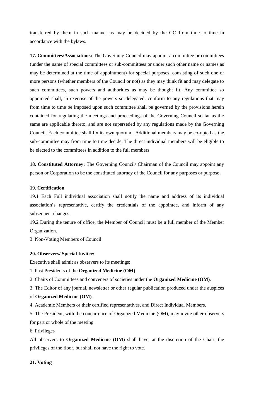transferred by them in such manner as may be decided by the GC from time to time in accordance with the bylaws.

**17. Committees/Associations:** The Governing Council may appoint a committee or committees (under the name of special committees or sub-committees or under such other name or names as may be determined at the time of appointment) for special purposes, consisting of such one or more persons (whether members of the Council or not) as they may think fit and may delegate to such committees, such powers and authorities as may be thought fit. Any committee so appointed shall, in exercise of the powers so delegated, conform to any regulations that may from time to time be imposed upon such committee shall be governed by the provisions herein contained for regulating the meetings and proceedings of the Governing Council so far as the same are applicable thereto, and are not superseded by any regulations made by the Governing Council. Each committee shall fix its own quorum. Additional members may be co-opted as the sub-committee may from time to time decide. The direct individual members will be eligible to be elected to the committees in addition to the full members

**18. Constituted Attorney:** The Governing Council/ Chairman of the Council may appoint any person or Corporation to be the constituted attorney of the Council for any purposes or purpose.

# **19. Certification**

19.1 Each Full individual association shall notify the name and address of its individual association's representative, certify the credentials of the appointee, and inform of any subsequent changes.

19.2 During the tenure of office, the Member of Council must be a full member of the Member Organization.

3. Non-Voting Members of Council

## **20. Observers/ Special Invitee:**

Executive shall admit as observers to its meetings:

1. Past Presidents of the **Organized Medicine (OM)**.

2. Chairs of Committees and conveners of societies under the **Organized Medicine (OM)**.

3. The Editor of any journal, newsletter or other regular publication produced under the auspices

## of **Organized Medicine (OM)**.

4. Academic Members or their certified representatives, and Direct Individual Members.

5. The President, with the concurrence of Organized Medicine (OM), may invite other observers for part or whole of the meeting.

6. Privileges

All observers to **Organized Medicine (OM)** shall have, at the discretion of the Chair, the privileges of the floor, but shall not have the right to vote.

# **21. Voting**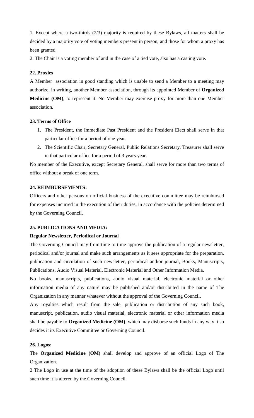1. Except where a two-thirds (2/3) majority is required by these Bylaws, all matters shall be decided by a majority vote of voting members present in person, and those for whom a proxy has been granted.

2. The Chair is a voting member of and in the case of a tied vote, also has a casting vote.

## **22. Proxies**

A Member association in good standing which is unable to send a Member to a meeting may authorize, in writing, another Member association, through its appointed Member of **Organized Medicine (OM)**, to represent it. No Member may exercise proxy for more than one Member association.

## **23. Terms of Office**

- 1. The President, the Immediate Past President and the President Elect shall serve in that particular office for a period of one year.
- 2. The Scientific Chair, Secretary General, Public Relations Secretary, Treasurer shall serve in that particular office for a period of 3 years year.

No member of the Executive, except Secretary General, shall serve for more than two terms of office without a break of one term.

# **24. REIMBURSEMENTS:**

Officers and other persons on official business of the executive committee may be reimbursed for expenses incurred in the execution of their duties, in accordance with the policies determined by the Governing Council.

## **25. PUBLICATIONS AND MEDIA:**

## **Regular Newsletter, Periodical or Journal**

The Governing Council may from time to time approve the publication of a regular newsletter, periodical and/or journal and make such arrangements as it sees appropriate for the preparation, publication and circulation of such newsletter, periodical and/or journal, Books, Manuscripts, Publications, Audio Visual Material, Electronic Material and Other Information Media.

No books, manuscripts, publications, audio visual material, electronic material or other information media of any nature may be published and/or distributed in the name of The Organization in any manner whatever without the approval of the Governing Council.

Any royalties which result from the sale, publication or distribution of any such book, manuscript, publication, audio visual material, electronic material or other information media shall be payable to **Organized Medicine (OM)**, which may disburse such funds in any way it so decides it its Executive Committee or Governing Council.

# **26. Logos:**

The **Organized Medicine (OM)** shall develop and approve of an official Logo of The Organization.

2 The Logo in use at the time of the adoption of these Bylaws shall be the official Logo until such time it is altered by the Governing Council.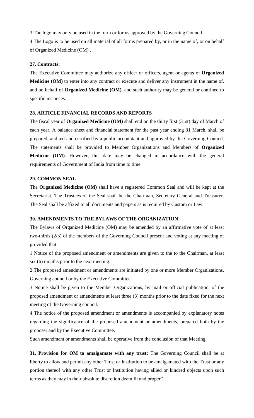3 The logo may only be used in the form or forms approved by the Governing Council.

4 The Logo is to be used on all material of all forms prepared by, or in the name of, or on behalf of Organized Medicine (OM) .

# **27. Contracts:**

The Executive Committee may authorize any officer or officers, agent or agents of **Organized Medicine (OM)** to enter into any contract or execute and deliver any instrument in the name of, and on behalf of **Organized Medicine (OM)**, and such authority may be general or confined to specific instances.

# **28. ARTICLE FINANCIAL RECORDS AND REPORTS**

The fiscal year of **Organized Medicine (OM)** shall end on the thirty first (31st) day of March of each year. A balance sheet and financial statement for the past year ending 31 March, shall be prepared, audited and certified by a public accountant and approved by the Governing Council. The statements shall be provided to Member Organizations and Members of **Organized Medicine (OM)**. However, this date may be changed in accordance with the general requirements of Government of India from time to time.

# **29. COMMON SEAL**

The **Organized Medicine (OM)** shall have a registered Common Seal and will be kept at the Secretariat. The Trustees of the Seal shall be the Chairman, Secretary General and Treasurer. The Seal shall be affixed to all documents and papers as is required by Custom or Law.

## **30. AMENDMENTS TO THE BYLAWS OF THE ORGANIZATION**

The Bylaws of Organized Medicine (OM) may be amended by an affirmative vote of at least two-thirds (2/3) of the members of the Governing Council present and voting at any meeting of provided that:

1 Notice of the proposed amendment or amendments are given to the to the Chairman, at least six (6) months prior to the next meeting.

2 The proposed amendment or amendments are initiated by one or more Member Organizations, Governing council or by the Executive Committee.

3 Notice shall be given to the Member Organizations, by mail or official publication, of the proposed amendment or amendments at least three (3) months prior to the date fixed for the next meeting of the Governing council.

4 The notice of the proposed amendment or amendments is accompanied by explanatory notes regarding the significance of the proposed amendment or amendments, prepared both by the proposer and by the Executive Committee.

Such amendment or amendments shall be operative from the conclusion of that Meeting.

**31. Provision for OM to amalgamate with any trust:** The Governing Council shall be at liberty to allow and permit any other Trust or Institution to be amalgamated with the Trust or any portion thereof with any other Trust or Institution having allied or kindred objects upon such terms as they may in their absolute discretion deem fit and proper".